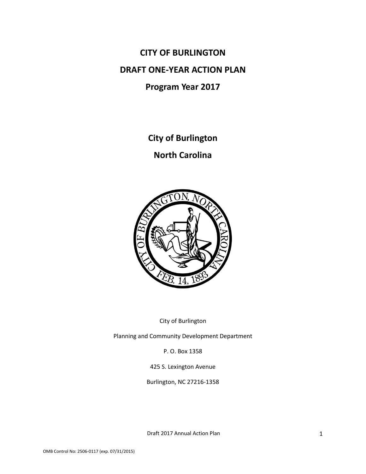**CITY OF BURLINGTON DRAFT ONE-YEAR ACTION PLAN Program Year 2017**

**City of Burlington**

**North Carolina**



City of Burlington

Planning and Community Development Department

P. O. Box 1358

425 S. Lexington Avenue

Burlington, NC 27216-1358

Draft 2017 Annual Action Plan 1 1 1 2017 1 2018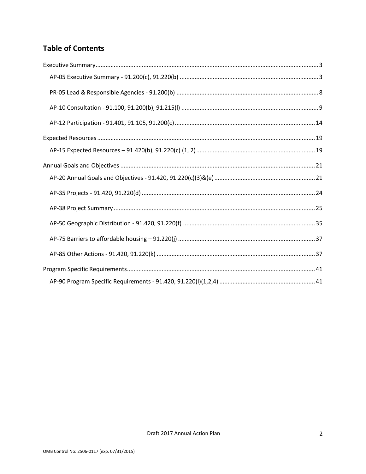# **Table of Contents**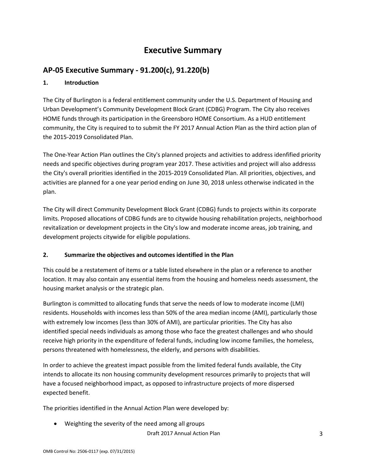# **Executive Summary**

# **AP-05 Executive Summary - 91.200(c), 91.220(b)**

## **1. Introduction**

The City of Burlington is a federal entitlement community under the U.S. Department of Housing and Urban Development's Community Development Block Grant (CDBG) Program. The City also receives HOME funds through its participation in the Greensboro HOME Consortium. As a HUD entitlement community, the City is required to to submit the FY 2017 Annual Action Plan as the third action plan of the 2015-2019 Consolidated Plan.

The One-Year Action Plan outlines the City's planned projects and activities to address idenfified priority needs and specific objectives during program year 2017. These activities and project will also addresss the City's overall priorities identified in the 2015-2019 Consolidated Plan. All priorities, objectives, and activities are planned for a one year period ending on June 30, 2018 unless otherwise indicated in the plan.

The City will direct Community Development Block Grant (CDBG) funds to projects within its corporate limits. Proposed allocations of CDBG funds are to citywide housing rehabilitation projects, neighborhood revitalization or development projects in the City's low and moderate income areas, job training, and development projects citywide for eligible populations.

## **2. Summarize the objectives and outcomes identified in the Plan**

This could be a restatement of items or a table listed elsewhere in the plan or a reference to another location. It may also contain any essential items from the housing and homeless needs assessment, the housing market analysis or the strategic plan.

Burlington is committed to allocating funds that serve the needs of low to moderate income (LMI) residents. Households with incomes less than 50% of the area median income (AMI), particularly those with extremely low incomes (less than 30% of AMI), are particular priorities. The City has also identified special needs individuals as among those who face the greatest challenges and who should receive high priority in the expenditure of federal funds, including low income families, the homeless, persons threatened with homelessness, the elderly, and persons with disabilities.

In order to achieve the greatest impact possible from the limited federal funds available, the City intends to allocate its non housing community development resources primarily to projects that will have a focused neighborhood impact, as opposed to infrastructure projects of more dispersed expected benefit.

The priorities identified in the Annual Action Plan were developed by:

Weighting the severity of the need among all groups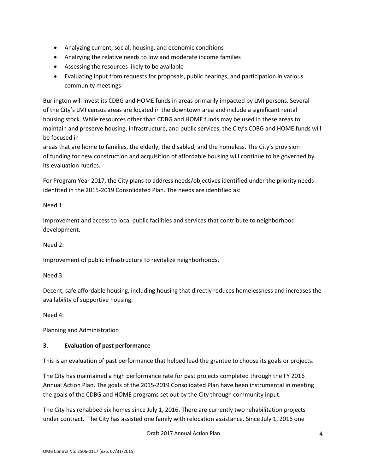- Analyzing current, social, housing, and economic conditions
- Analzying the relative needs to low and moderate income families
- Assessing the resources likely to be available
- Evaluating input from requests for proposals, public hearings, and participation in various community meetings

Burlington will invest its CDBG and HOME funds in areas primarily impacted by LMI persons. Several of the City's LMI census areas are located in the downtown area and include a significant rental housing stock. While resources other than CDBG and HOME funds may be used in these areas to maintain and preserve housing, infrastructure, and public services, the City's CDBG and HOME funds will be focused in

areas that are home to families, the elderly, the disabled, and the homeless. The City's provision of funding for new construction and acquisition of affordable housing will continue to be governed by its evaluation rubrics.

For Program Year 2017, the City plans to address needs/objectives identified under the priority needs idenfited in the 2015-2019 Consolidated Plan. The needs are identified as:

Need 1:

Improvement and access to local public facilities and services that contribute to neighborhood development.

Need 2:

Improvement of public infrastructure to revitalize neighborhoods.

Need 3:

Decent, safe affordable housing, including housing that directly reduces homelessness and increases the availability of supportive housing.

Need 4:

Planning and Administration

## **3. Evaluation of past performance**

This is an evaluation of past performance that helped lead the grantee to choose its goals or projects.

The City has maintained a high performance rate for past projects completed through the FY 2016 Annual Action Plan. The goals of the 2015-2019 Consolidated Plan have been instrumental in meeting the goals of the CDBG and HOME programs set out by the City through community input.

The City has rehabbed six homes since July 1, 2016. There are currently two rehabilitation projects under contract. The City has assisted one family with relocation assistance. Since July 1, 2016 one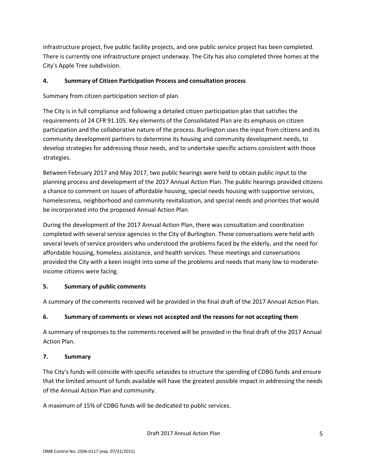infrastructure project, five public facility projects, and one public service project has been completed. There is currently one infrastructure project underway. The City has also completed three homes at the City's Apple Tree subdivision.

## **4. Summary of Citizen Participation Process and consultation process**

Summary from citizen participation section of plan.

The City is in full compliance and following a detailed citizen participation plan that satisfies the requirements of 24 CFR 91.105. Key elements of the Consolidated Plan are its emphasis on citizen participation and the collaborative nature of the process. Burlington uses the input from citizens and its community development partners to determine its housing and community development needs, to develop strategies for addressing those needs, and to undertake specific actions consistent with those strategies.

Between February 2017 and May 2017, two public hearings were held to obtain public input to the planning process and development of the 2017 Annual Action Plan. The public hearings provided citizens a chance to comment on issues of affordable housing, special needs housing with supportive services, homelessness, neighborhood and community revitalization, and special needs and priorities that would be incorporated into the proposed Annual Action Plan.

During the development of the 2017 Annual Action Plan, there was consultation and coordination completed with several service agencies in the City of Burlington. These conversations were held with several levels of service providers who understood the problems faced by the elderly, and the need for affordable housing, homeless assistance, and health services. These meetings and conversations provided the City with a keen insight into some of the problems and needs that many low to moderateincome citizens were facing.

## **5. Summary of public comments**

A summary of the comments received will be provided in the final draft of the 2017 Annual Action Plan.

## **6. Summary of comments or views not accepted and the reasons for not accepting them**

A summary of responses to the comments received will be provided in the final draft of the 2017 Annual Action Plan.

## **7. Summary**

The City's funds will coincide with specific setasides to structure the spending of CDBG funds and ensure that the limited amount of funds available will have the greatest possible impact in addressing the needs of the Annual Action Plan and community.

A maximum of 15% of CDBG funds will be dedicated to public services.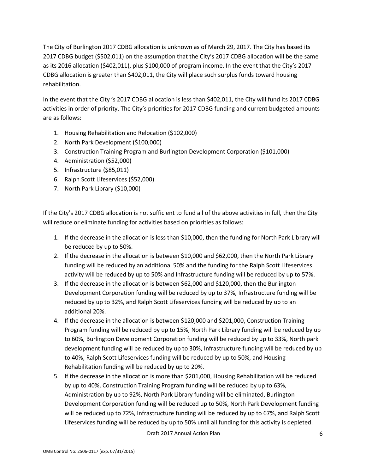The City of Burlington 2017 CDBG allocation is unknown as of March 29, 2017. The City has based its 2017 CDBG budget (\$502,011) on the assumption that the City's 2017 CDBG allocation will be the same as its 2016 allocation (\$402,011), plus \$100,000 of program income. In the event that the City's 2017 CDBG allocation is greater than \$402,011, the City will place such surplus funds toward housing rehabilitation.

In the event that the City 's 2017 CDBG allocation is less than \$402,011, the City will fund its 2017 CDBG activities in order of priority. The City's priorities for 2017 CDBG funding and current budgeted amounts are as follows:

- 1. Housing Rehabilitation and Relocation (\$102,000)
- 2. North Park Development (\$100,000)
- 3. Construction Training Program and Burlington Development Corporation (\$101,000)
- 4. Administration (\$52,000)
- 5. Infrastructure (\$85,011)
- 6. Ralph Scott Lifeservices (\$52,000)
- 7. North Park Library (\$10,000)

If the City's 2017 CDBG allocation is not sufficient to fund all of the above activities in full, then the City will reduce or eliminate funding for activities based on priorities as follows:

- 1. If the decrease in the allocation is less than \$10,000, then the funding for North Park Library will be reduced by up to 50%.
- 2. If the decrease in the allocation is between \$10,000 and \$62,000, then the North Park Library funding will be reduced by an additional 50% and the funding for the Ralph Scott Lifeservices activity will be reduced by up to 50% and Infrastructure funding will be reduced by up to 57%.
- 3. If the decrease in the allocation is between \$62,000 and \$120,000, then the Burlington Development Corporation funding will be reduced by up to 37%, Infrastructure funding will be reduced by up to 32%, and Ralph Scott Lifeservices funding will be reduced by up to an additional 20%.
- 4. If the decrease in the allocation is between \$120,000 and \$201,000, Construction Training Program funding will be reduced by up to 15%, North Park Library funding will be reduced by up to 60%, Burlington Development Corporation funding will be reduced by up to 33%, North park development funding will be reduced by up to 30%, Infrastructure funding will be reduced by up to 40%, Ralph Scott Lifeservices funding will be reduced by up to 50%, and Housing Rehabilitation funding will be reduced by up to 20%.
- 5. If the decrease in the allocation is more than \$201,000, Housing Rehabilitation will be reduced by up to 40%, Construction Training Program funding will be reduced by up to 63%, Administration by up to 92%, North Park Library funding will be eliminated, Burlington Development Corporation funding will be reduced up to 50%, North Park Development funding will be reduced up to 72%, Infrastructure funding will be reduced by up to 67%, and Ralph Scott Lifeservices funding will be reduced by up to 50% until all funding for this activity is depleted.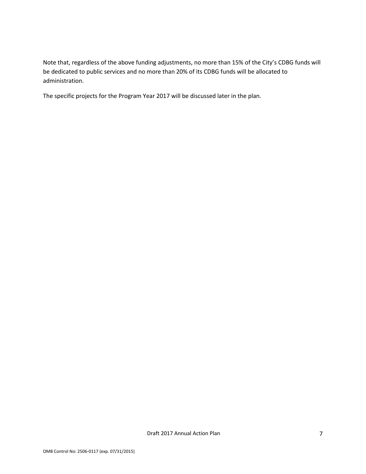Note that, regardless of the above funding adjustments, no more than 15% of the City's CDBG funds will be dedicated to public services and no more than 20% of its CDBG funds will be allocated to administration.

The specific projects for the Program Year 2017 will be discussed later in the plan.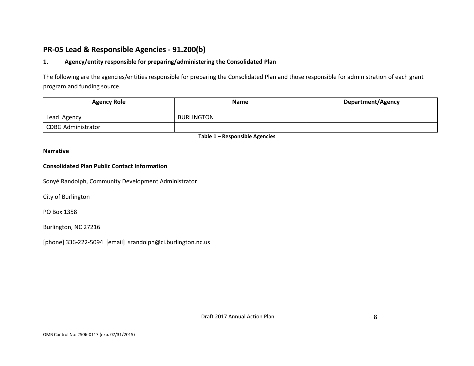# **PR-05 Lead & Responsible Agencies - 91.200(b)**

### **1. Agency/entity responsible for preparing/administering the Consolidated Plan**

The following are the agencies/entities responsible for preparing the Consolidated Plan and those responsible for administration of each grant program and funding source.

| <b>Agency Role</b>        | <b>Name</b> | <b>Department/Agency</b> |
|---------------------------|-------------|--------------------------|
| Lead Agency               | BURLINGTON  |                          |
| <b>CDBG Administrator</b> |             |                          |

**Table 1 – Responsible Agencies**

#### **Narrative**

#### **Consolidated Plan Public Contact Information**

Sonyé Randolph, Community Development Administrator

City of Burlington

PO Box 1358

Burlington, NC 27216

[phone] 336-222-5094 [email] srandolph@ci.burlington.nc.us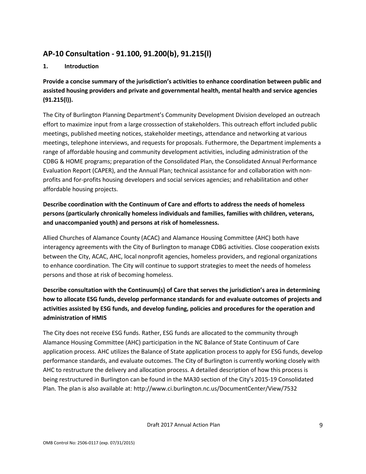# **AP-10 Consultation - 91.100, 91.200(b), 91.215(l)**

## **1. Introduction**

**Provide a concise summary of the jurisdiction's activities to enhance coordination between public and assisted housing providers and private and governmental health, mental health and service agencies (91.215(l)).**

The City of Burlington Planning Department's Community Development Division developed an outreach effort to maximize input from a large crosssection of stakeholders. This outreach effort included public meetings, published meeting notices, stakeholder meetings, attendance and networking at various meetings, telephone interviews, and requests for proposals. Futhermore, the Department implements a range of affordable housing and community development activities, including administration of the CDBG & HOME programs; preparation of the Consolidated Plan, the Consolidated Annual Performance Evaluation Report (CAPER), and the Annual Plan; technical assistance for and collaboration with nonprofits and for-profits housing developers and social services agencies; and rehabilitation and other affordable housing projects.

## **Describe coordination with the Continuum of Care and efforts to address the needs of homeless persons (particularly chronically homeless individuals and families, families with children, veterans, and unaccompanied youth) and persons at risk of homelessness.**

Allied Churches of Alamance County (ACAC) and Alamance Housing Committee (AHC) both have interagency agreements with the City of Burlington to manage CDBG activities. Close cooperation exists between the City, ACAC, AHC, local nonprofit agencies, homeless providers, and regional organizations to enhance coordination. The City will continue to support strategies to meet the needs of homeless persons and those at risk of becoming homeless.

## **Describe consultation with the Continuum(s) of Care that serves the jurisdiction's area in determining how to allocate ESG funds, develop performance standards for and evaluate outcomes of projects and activities assisted by ESG funds, and develop funding, policies and procedures for the operation and administration of HMIS**

The City does not receive ESG funds. Rather, ESG funds are allocated to the community through Alamance Housing Committee (AHC) participation in the NC Balance of State Continuum of Care application process. AHC utilizes the Balance of State application process to apply for ESG funds, develop performance standards, and evaluate outcomes. The City of Burlington is currently working closely with AHC to restructure the delivery and allocation process. A detailed description of how this process is being restructured in Burlington can be found in the MA30 section of the City's 2015-19 Consolidated Plan. The plan is also available at: http://www.ci.burlington.nc.us/DocumentCenter/View/7532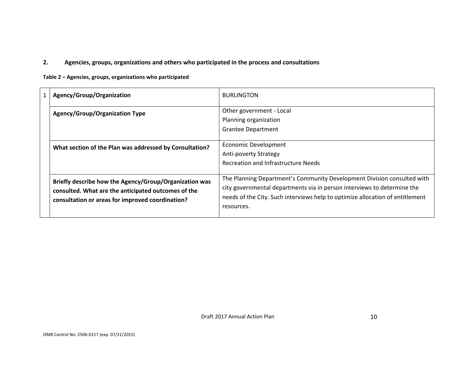## **2. Agencies, groups, organizations and others who participated in the process and consultations**

**Table 2 – Agencies, groups, organizations who participated**

| 1 | Agency/Group/Organization                                                                                                                                         | <b>BURLINGTON</b>                                                                                                                                                                                                                                 |
|---|-------------------------------------------------------------------------------------------------------------------------------------------------------------------|---------------------------------------------------------------------------------------------------------------------------------------------------------------------------------------------------------------------------------------------------|
|   | <b>Agency/Group/Organization Type</b>                                                                                                                             | Other government - Local<br>Planning organization<br><b>Grantee Department</b>                                                                                                                                                                    |
|   | What section of the Plan was addressed by Consultation?                                                                                                           | <b>Economic Development</b><br><b>Anti-poverty Strategy</b><br><b>Recreation and Infrastructure Needs</b>                                                                                                                                         |
|   | Briefly describe how the Agency/Group/Organization was<br>consulted. What are the anticipated outcomes of the<br>consultation or areas for improved coordination? | The Planning Department's Community Development Division consulted with<br>city governmental departments via in person interviews to determine the<br>needs of the City. Such interviews help to optimize allocation of entitlement<br>resources. |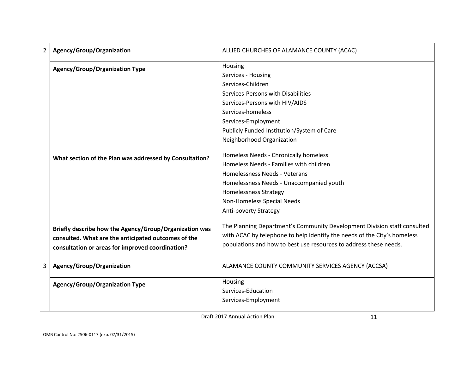| $\overline{2}$ | Agency/Group/Organization                               | ALLIED CHURCHES OF ALAMANCE COUNTY (ACAC)                                |
|----------------|---------------------------------------------------------|--------------------------------------------------------------------------|
|                | <b>Agency/Group/Organization Type</b>                   | Housing                                                                  |
|                |                                                         | Services - Housing                                                       |
|                |                                                         | Services-Children                                                        |
|                |                                                         | Services-Persons with Disabilities                                       |
|                |                                                         | Services-Persons with HIV/AIDS                                           |
|                |                                                         | Services-homeless                                                        |
|                |                                                         | Services-Employment                                                      |
|                |                                                         | Publicly Funded Institution/System of Care                               |
|                |                                                         | Neighborhood Organization                                                |
|                |                                                         |                                                                          |
|                | What section of the Plan was addressed by Consultation? | Homeless Needs - Chronically homeless                                    |
|                |                                                         | Homeless Needs - Families with children                                  |
|                |                                                         | Homelessness Needs - Veterans                                            |
|                |                                                         | Homelessness Needs - Unaccompanied youth                                 |
|                |                                                         | <b>Homelessness Strategy</b>                                             |
|                |                                                         | Non-Homeless Special Needs                                               |
|                |                                                         | Anti-poverty Strategy                                                    |
|                | Briefly describe how the Agency/Group/Organization was  | The Planning Department's Community Development Division staff consulted |
|                | consulted. What are the anticipated outcomes of the     | with ACAC by telephone to help identify the needs of the City's homeless |
|                | consultation or areas for improved coordination?        | populations and how to best use resources to address these needs.        |
|                |                                                         |                                                                          |
| 3              | Agency/Group/Organization                               | ALAMANCE COUNTY COMMUNITY SERVICES AGENCY (ACCSA)                        |
|                |                                                         | Housing                                                                  |
|                | <b>Agency/Group/Organization Type</b>                   | Services-Education                                                       |
|                |                                                         | Services-Employment                                                      |
|                |                                                         |                                                                          |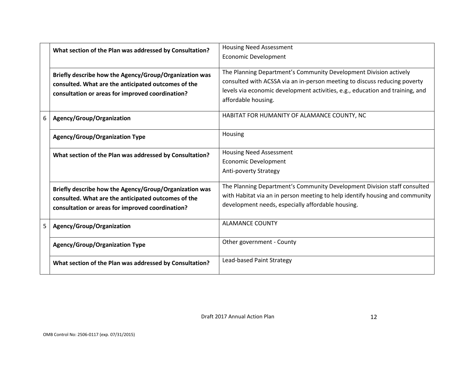|   | What section of the Plan was addressed by Consultation?                                                                                                           | <b>Housing Need Assessment</b><br><b>Economic Development</b>                                                                                                                                                                                          |  |  |  |
|---|-------------------------------------------------------------------------------------------------------------------------------------------------------------------|--------------------------------------------------------------------------------------------------------------------------------------------------------------------------------------------------------------------------------------------------------|--|--|--|
|   | Briefly describe how the Agency/Group/Organization was<br>consulted. What are the anticipated outcomes of the<br>consultation or areas for improved coordination? | The Planning Department's Community Development Division actively<br>consulted with ACSSA via an in-person meeting to discuss reducing poverty<br>levels via economic development activities, e.g., education and training, and<br>affordable housing. |  |  |  |
| 6 | Agency/Group/Organization                                                                                                                                         | HABITAT FOR HUMANITY OF ALAMANCE COUNTY, NC                                                                                                                                                                                                            |  |  |  |
|   | <b>Agency/Group/Organization Type</b>                                                                                                                             | Housing                                                                                                                                                                                                                                                |  |  |  |
|   | What section of the Plan was addressed by Consultation?                                                                                                           | <b>Housing Need Assessment</b><br><b>Economic Development</b><br><b>Anti-poverty Strategy</b>                                                                                                                                                          |  |  |  |
|   | Briefly describe how the Agency/Group/Organization was<br>consulted. What are the anticipated outcomes of the<br>consultation or areas for improved coordination? | The Planning Department's Community Development Division staff consulted<br>with Habitat via an in person meeting to help identify housing and community<br>development needs, especially affordable housing.                                          |  |  |  |
| 5 | Agency/Group/Organization                                                                                                                                         | <b>ALAMANCE COUNTY</b>                                                                                                                                                                                                                                 |  |  |  |
|   | <b>Agency/Group/Organization Type</b>                                                                                                                             | Other government - County                                                                                                                                                                                                                              |  |  |  |
|   | What section of the Plan was addressed by Consultation?                                                                                                           | Lead-based Paint Strategy                                                                                                                                                                                                                              |  |  |  |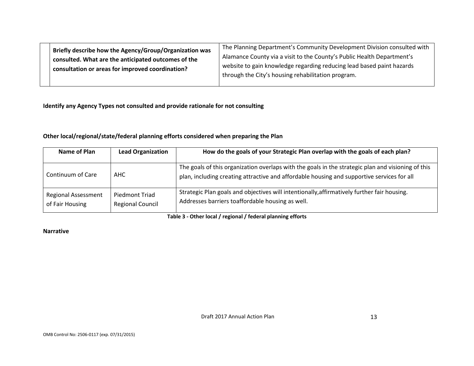| Briefly describe how the Agency/Group/Organization was | The Planning Department's Community Development Division consulted with |
|--------------------------------------------------------|-------------------------------------------------------------------------|
| consulted. What are the anticipated outcomes of the    | Alamance County via a visit to the County's Public Health Department's  |
| consultation or areas for improved coordination?       | website to gain knowledge regarding reducing lead based paint hazards   |
|                                                        | through the City's housing rehabilitation program.                      |
|                                                        |                                                                         |

**Identify any Agency Types not consulted and provide rationale for not consulting**

**Other local/regional/state/federal planning efforts considered when preparing the Plan**

| Name of Plan                                  | <b>Lead Organization</b>                         | How do the goals of your Strategic Plan overlap with the goals of each plan?                                                                                                                     |  |  |  |
|-----------------------------------------------|--------------------------------------------------|--------------------------------------------------------------------------------------------------------------------------------------------------------------------------------------------------|--|--|--|
| Continuum of Care                             | AHC                                              | The goals of this organization overlaps with the goals in the strategic plan and visioning of this<br>plan, including creating attractive and affordable housing and supportive services for all |  |  |  |
| <b>Regional Assessment</b><br>of Fair Housing | <b>Piedmont Triad</b><br><b>Regional Council</b> | Strategic Plan goals and objectives will intentionally, affirmatively further fair housing.<br>Addresses barriers toaffordable housing as well.                                                  |  |  |  |

**Table 3 - Other local / regional / federal planning efforts**

## **Narrative**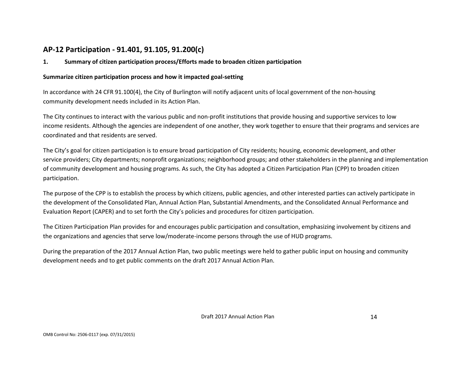# **AP-12 Participation - 91.401, 91.105, 91.200(c)**

### **1. Summary of citizen participation process/Efforts made to broaden citizen participation**

### **Summarize citizen participation process and how it impacted goal-setting**

In accordance with 24 CFR 91.100(4), the City of Burlington will notify adjacent units of local government of the non-housing community development needs included in its Action Plan.

The City continues to interact with the various public and non-profit institutions that provide housing and supportive services to low income residents. Although the agencies are independent of one another, they work together to ensure that their programs and services are coordinated and that residents are served.

The City's goal for citizen participation is to ensure broad participation of City residents; housing, economic development, and other service providers; City departments; nonprofit organizations; neighborhood groups; and other stakeholders in the planning and implementation of community development and housing programs. As such, the City has adopted a Citizen Participation Plan (CPP) to broaden citizen participation.

The purpose of the CPP is to establish the process by which citizens, public agencies, and other interested parties can actively participate in the development of the Consolidated Plan, Annual Action Plan, Substantial Amendments, and the Consolidated Annual Performance and Evaluation Report (CAPER) and to set forth the City's policies and procedures for citizen participation.

The Citizen Participation Plan provides for and encourages public participation and consultation, emphasizing involvement by citizens and the organizations and agencies that serve low/moderate-income persons through the use of HUD programs.

During the preparation of the 2017 Annual Action Plan, two public meetings were held to gather public input on housing and community development needs and to get public comments on the draft 2017 Annual Action Plan.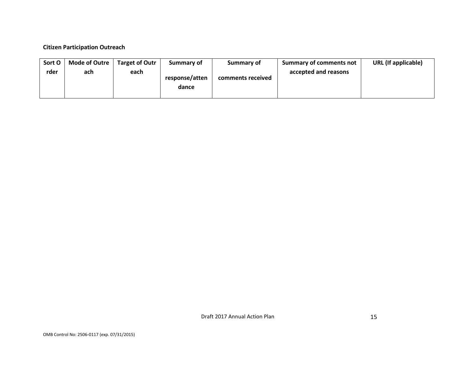### **Citizen Participation Outreach**

| Sort O | Mode of Outre | <b>Target of Outr</b> | Summary of              | Summary of        | Summary of comments not | URL (If applicable) |
|--------|---------------|-----------------------|-------------------------|-------------------|-------------------------|---------------------|
| rder   | ach           | each                  | response/atten<br>dance | comments received | accepted and reasons    |                     |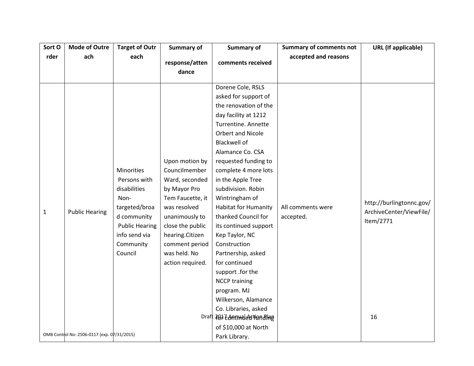| Sort O       | <b>Target of Outr</b><br><b>Mode of Outre</b>                        |                                                                                                                                                      | Summary of                                                                                                                                                                                                           | <b>Summary of</b>                                                                                                                                                                                                                                                                                                                                                                                                                                                                                                                                                                                                                         | <b>Summary of comments not</b> | <b>URL</b> (If applicable)                                             |
|--------------|----------------------------------------------------------------------|------------------------------------------------------------------------------------------------------------------------------------------------------|----------------------------------------------------------------------------------------------------------------------------------------------------------------------------------------------------------------------|-------------------------------------------------------------------------------------------------------------------------------------------------------------------------------------------------------------------------------------------------------------------------------------------------------------------------------------------------------------------------------------------------------------------------------------------------------------------------------------------------------------------------------------------------------------------------------------------------------------------------------------------|--------------------------------|------------------------------------------------------------------------|
| rder         | ach                                                                  | each                                                                                                                                                 | response/atten<br>dance                                                                                                                                                                                              | comments received                                                                                                                                                                                                                                                                                                                                                                                                                                                                                                                                                                                                                         | accepted and reasons           |                                                                        |
| $\mathbf{1}$ | <b>Public Hearing</b><br>OMB Control No: 2506-0117 (exp. 07/31/2015) | Minorities<br>Persons with<br>disabilities<br>Non-<br>targeted/broa<br>d community<br><b>Public Hearing</b><br>info send via<br>Community<br>Council | Upon motion by<br>Councilmember<br>Ward, seconded<br>by Mayor Pro<br>Tem Faucette, it<br>was resolved<br>unanimously to<br>close the public<br>hearing.Citizen<br>comment period<br>was held. No<br>action required. | Dorene Cole, RSLS<br>asked for support of<br>the renovation of the<br>day facility at 1212<br>Turrentine. Annette<br>Orbert and Nicole<br><b>Blackwell of</b><br>Alamance Co. CSA<br>requested funding to<br>complete 4 more lots<br>in the Apple Tree<br>subdivision. Robin<br>Wintringham of<br><b>Habitat for Humanity</b><br>thanked Council for<br>its continued support<br>Kep Taylor, NC<br>Construction<br>Partnership, asked<br>for continued<br>support .for the<br><b>NCCP training</b><br>program. MJ<br>Wilkerson, Alamance<br>Co. Libraries, asked<br>Draft 707 Zonnweleer Fonding<br>of \$10,000 at North<br>Park Library. | All comments were<br>accepted. | http://burlingtonnc.gov/<br>ArchiveCenter/ViewFile/<br>Item/2771<br>16 |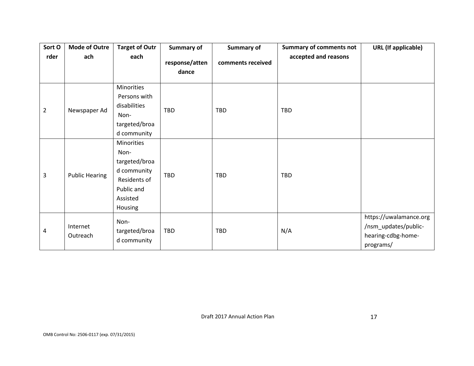| Sort O         | <b>Mode of Outre</b>  | <b>Target of Outr</b>                                                                                   | <b>Summary of</b>       | <b>Summary of</b> | <b>Summary of comments not</b> | <b>URL</b> (If applicable)                                                        |
|----------------|-----------------------|---------------------------------------------------------------------------------------------------------|-------------------------|-------------------|--------------------------------|-----------------------------------------------------------------------------------|
| rder           | ach                   | each                                                                                                    | response/atten<br>dance | comments received | accepted and reasons           |                                                                                   |
| $\overline{2}$ | Newspaper Ad          | Minorities<br>Persons with<br>disabilities<br>Non-<br>targeted/broa<br>d community                      | <b>TBD</b>              | <b>TBD</b>        | <b>TBD</b>                     |                                                                                   |
| 3              | <b>Public Hearing</b> | Minorities<br>Non-<br>targeted/broa<br>d community<br>Residents of<br>Public and<br>Assisted<br>Housing | TBD                     | TBD               | TBD                            |                                                                                   |
| 4              | Internet<br>Outreach  | Non-<br>targeted/broa<br>d community                                                                    | TBD                     | TBD               | N/A                            | https://uwalamance.org<br>/nsm_updates/public-<br>hearing-cdbg-home-<br>programs/ |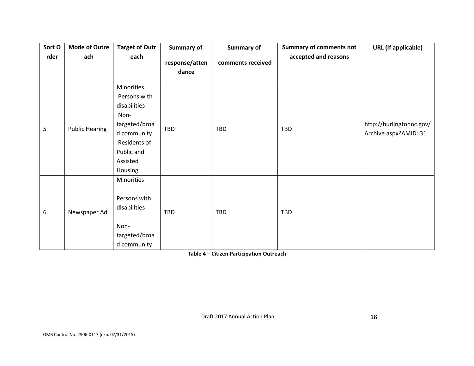| Sort O | <b>Mode of Outre</b>  | <b>Target of Outr</b>                                                                                                                   | <b>Summary of</b>       | <b>Summary of</b> | <b>Summary of comments not</b> | <b>URL</b> (If applicable)                       |
|--------|-----------------------|-----------------------------------------------------------------------------------------------------------------------------------------|-------------------------|-------------------|--------------------------------|--------------------------------------------------|
| rder   | ach                   | each                                                                                                                                    | response/atten<br>dance | comments received | accepted and reasons           |                                                  |
| 5      | <b>Public Hearing</b> | Minorities<br>Persons with<br>disabilities<br>Non-<br>targeted/broa<br>d community<br>Residents of<br>Public and<br>Assisted<br>Housing | TBD                     | TBD               | TBD                            | http://burlingtonnc.gov/<br>Archive.aspx?AMID=31 |
| 6      | Newspaper Ad          | Minorities<br>Persons with<br>disabilities<br>Non-<br>targeted/broa<br>d community                                                      | TBD                     | TBD               | TBD                            |                                                  |

**Table 4 – Citizen Participation Outreach**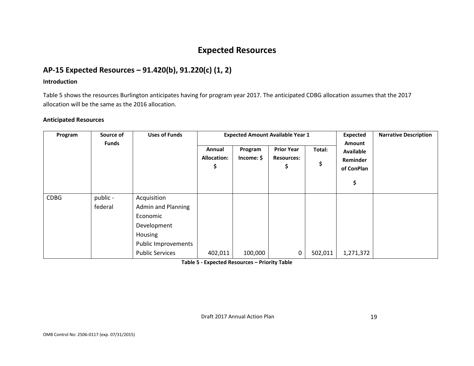# **Expected Resources**

# **AP-15 Expected Resources – 91.420(b), 91.220(c) (1, 2)**

### **Introduction**

Table 5 shows the resources Burlington anticipates having for program year 2017. The anticipated CDBG allocation assumes that the 2017 allocation will be the same as the 2016 allocation.

### **Anticipated Resources**

| Program     | Source of           | <b>Uses of Funds</b>                                                                                                            | <b>Expected Amount Available Year 1</b> |                       |                                              |              |                                                            | <b>Narrative Description</b> |
|-------------|---------------------|---------------------------------------------------------------------------------------------------------------------------------|-----------------------------------------|-----------------------|----------------------------------------------|--------------|------------------------------------------------------------|------------------------------|
|             | <b>Funds</b>        |                                                                                                                                 | Annual<br><b>Allocation:</b><br>\$      | Program<br>Income: \$ | <b>Prior Year</b><br><b>Resources:</b><br>\$ | Total:<br>\$ | Amount<br>Available<br><b>Reminder</b><br>of ConPlan<br>\$ |                              |
| <b>CDBG</b> | public -<br>federal | Acquisition<br><b>Admin and Planning</b><br>Economic<br>Development<br>Housing<br>Public Improvements<br><b>Public Services</b> | 402,011                                 | 100,000               | 0                                            | 502,011      | 1,271,372                                                  |                              |

**Table 5 - Expected Resources – Priority Table**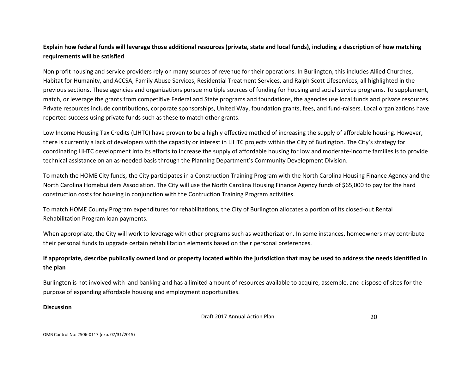## **Explain how federal funds will leverage those additional resources (private, state and local funds), including a description of how matching requirements will be satisfied**

Non profit housing and service providers rely on many sources of revenue for their operations. In Burlington, this includes Allied Churches, Habitat for Humanity, and ACCSA, Family Abuse Services, Residential Treatment Services, and Ralph Scott Lifeservices, all highlighted in the previous sections. These agencies and organizations pursue multiple sources of funding for housing and social service programs. To supplement, match, or leverage the grants from competitive Federal and State programs and foundations, the agencies use local funds and private resources. Private resources include contributions, corporate sponsorships, United Way, foundation grants, fees, and fund-raisers. Local organizations have reported success using private funds such as these to match other grants.

Low Income Housing Tax Credits (LIHTC) have proven to be a highly effective method of increasing the supply of affordable housing. However, there is currently a lack of developers with the capacity or interest in LIHTC projects within the City of Burlington. The City's strategy for coordinating LIHTC development into its efforts to increase the supply of affordable housing for low and moderate-income families is to provide technical assistance on an as-needed basis through the Planning Department's Community Development Division.

To match the HOME City funds, the City participates in a Construction Training Program with the North Carolina Housing Finance Agency and the North Carolina Homebuilders Association. The City will use the North Carolina Housing Finance Agency funds of \$65,000 to pay for the hard construction costs for housing in conjunction with the Contruction Training Program activities.

To match HOME County Program expenditures for rehabilitations, the City of Burlington allocates a portion of its closed-out Rental Rehabilitation Program loan payments.

When appropriate, the City will work to leverage with other programs such as weatherization. In some instances, homeowners may contribute their personal funds to upgrade certain rehabilitation elements based on their personal preferences.

## **If appropriate, describe publically owned land or property located within the jurisdiction that may be used to address the needs identified in the plan**

Burlington is not involved with land banking and has a limited amount of resources available to acquire, assemble, and dispose of sites for the purpose of expanding affordable housing and employment opportunities.

#### **Discussion**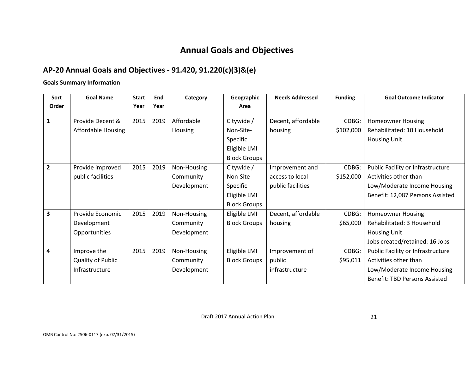# **Annual Goals and Objectives**

# **AP-20 Annual Goals and Objectives - 91.420, 91.220(c)(3)&(e)**

**Goals Summary Information** 

| Sort                    | <b>Goal Name</b>         | <b>Start</b> | End  | Category    | Geographic          | <b>Needs Addressed</b> | <b>Funding</b> | <b>Goal Outcome Indicator</b>        |
|-------------------------|--------------------------|--------------|------|-------------|---------------------|------------------------|----------------|--------------------------------------|
| Order                   |                          | Year         | Year |             | Area                |                        |                |                                      |
| 1                       | Provide Decent &         | 2015         | 2019 | Affordable  | Citywide /          | Decent, affordable     | CDBG:          | <b>Homeowner Housing</b>             |
|                         | Affordable Housing       |              |      | Housing     | Non-Site-           | housing                | \$102,000      | Rehabilitated: 10 Household          |
|                         |                          |              |      |             |                     |                        |                |                                      |
|                         |                          |              |      |             | Specific            |                        |                | <b>Housing Unit</b>                  |
|                         |                          |              |      |             | Eligible LMI        |                        |                |                                      |
|                         |                          |              |      |             | <b>Block Groups</b> |                        |                |                                      |
| $\overline{2}$          | Provide improved         | 2015         | 2019 | Non-Housing | Citywide /          | Improvement and        | CDBG:          | Public Facility or Infrastructure    |
|                         | public facilities        |              |      | Community   | Non-Site-           | access to local        | \$152,000      | Activities other than                |
|                         |                          |              |      | Development | Specific            | public facilities      |                | Low/Moderate Income Housing          |
|                         |                          |              |      |             | Eligible LMI        |                        |                | Benefit: 12,087 Persons Assisted     |
|                         |                          |              |      |             | <b>Block Groups</b> |                        |                |                                      |
| $\overline{\mathbf{3}}$ | Provide Economic         | 2015         | 2019 | Non-Housing | Eligible LMI        | Decent, affordable     | CDBG:          | <b>Homeowner Housing</b>             |
|                         | Development              |              |      | Community   | <b>Block Groups</b> | housing                | \$65,000       | Rehabilitated: 3 Household           |
|                         | Opportunities            |              |      | Development |                     |                        |                | <b>Housing Unit</b>                  |
|                         |                          |              |      |             |                     |                        |                | Jobs created/retained: 16 Jobs       |
| 4                       | Improve the              | 2015         | 2019 | Non-Housing | Eligible LMI        | Improvement of         | CDBG:          | Public Facility or Infrastructure    |
|                         | <b>Quality of Public</b> |              |      | Community   | <b>Block Groups</b> | public                 | \$95,011       | Activities other than                |
|                         | Infrastructure           |              |      | Development |                     | infrastructure         |                | Low/Moderate Income Housing          |
|                         |                          |              |      |             |                     |                        |                | <b>Benefit: TBD Persons Assisted</b> |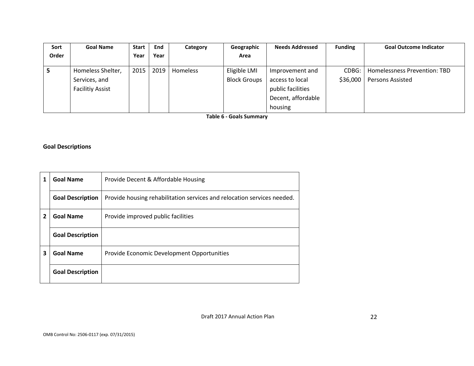| Sort  | <b>Goal Name</b>        | <b>Start</b> | End  | Category | Geographic          | <b>Needs Addressed</b> | <b>Funding</b> | <b>Goal Outcome Indicator</b> |
|-------|-------------------------|--------------|------|----------|---------------------|------------------------|----------------|-------------------------------|
| Order |                         | Year         | Year |          | Area                |                        |                |                               |
|       |                         |              |      |          |                     |                        |                |                               |
|       | Homeless Shelter,       | 2015         | 2019 | Homeless | Eligible LMI        | Improvement and        | CDBG:          | Homelessness Prevention: TBD  |
|       | Services, and           |              |      |          | <b>Block Groups</b> | access to local        | \$36,000       | <b>Persons Assisted</b>       |
|       | <b>Facilitiy Assist</b> |              |      |          |                     | public facilities      |                |                               |
|       |                         |              |      |          |                     | Decent, affordable     |                |                               |
|       |                         |              |      |          |                     | housing                |                |                               |

**Table 6 - Goals Summary**

## **Goal Descriptions**

|   | <b>Goal Name</b>        | Provide Decent & Affordable Housing                                     |
|---|-------------------------|-------------------------------------------------------------------------|
|   | <b>Goal Description</b> | Provide housing rehabilitation services and relocation services needed. |
| 2 | <b>Goal Name</b>        | Provide improved public facilities                                      |
|   | <b>Goal Description</b> |                                                                         |
| 3 | <b>Goal Name</b>        | Provide Economic Development Opportunities                              |
|   | <b>Goal Description</b> |                                                                         |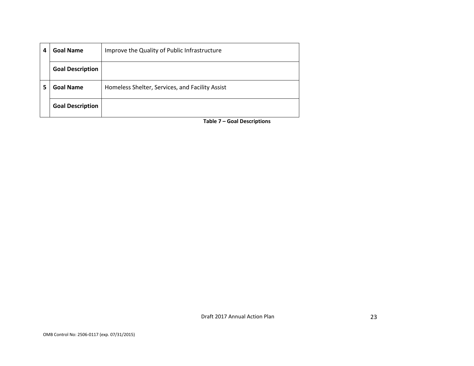| 4 | Goal Name               | Improve the Quality of Public Infrastructure    |
|---|-------------------------|-------------------------------------------------|
|   | <b>Goal Description</b> |                                                 |
| 5 | <b>Goal Name</b>        | Homeless Shelter, Services, and Facility Assist |
|   | <b>Goal Description</b> |                                                 |

**Table 7 – Goal Descriptions**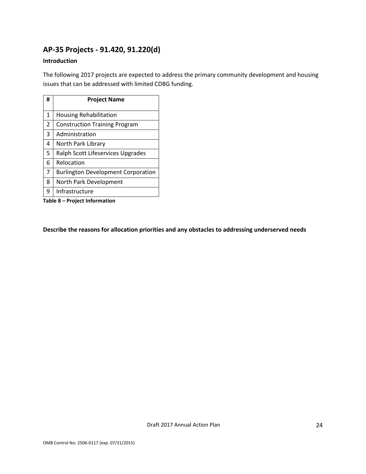# **AP-35 Projects - 91.420, 91.220(d)**

## **Introduction**

The following 2017 projects are expected to address the primary community development and housing issues that can be addressed with limited CDBG funding.

| # | <b>Project Name</b>                       |
|---|-------------------------------------------|
| 1 | <b>Housing Rehabilitation</b>             |
| 2 | <b>Construction Training Program</b>      |
| 3 | Administration                            |
| 4 | North Park Library                        |
| 5 | Ralph Scott Lifeservices Upgrades         |
| 6 | Relocation                                |
| 7 | <b>Burlington Development Corporation</b> |
| 8 | North Park Development                    |
| 9 | Infrastructure                            |

**Table 8 – Project Information**

**Describe the reasons for allocation priorities and any obstacles to addressing underserved needs**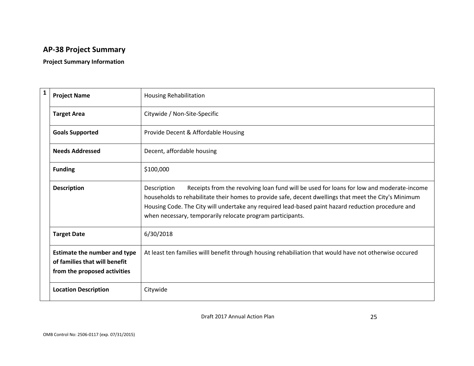# **AP-38 Project Summary**

## **Project Summary Information**

| $\mathbf{1}$ | <b>Project Name</b>                                                                                  | <b>Housing Rehabilitation</b>                                                                                                                                                                                                                                                                                                                                                        |
|--------------|------------------------------------------------------------------------------------------------------|--------------------------------------------------------------------------------------------------------------------------------------------------------------------------------------------------------------------------------------------------------------------------------------------------------------------------------------------------------------------------------------|
|              | <b>Target Area</b>                                                                                   | Citywide / Non-Site-Specific                                                                                                                                                                                                                                                                                                                                                         |
|              | <b>Goals Supported</b>                                                                               | Provide Decent & Affordable Housing                                                                                                                                                                                                                                                                                                                                                  |
|              | <b>Needs Addressed</b>                                                                               | Decent, affordable housing                                                                                                                                                                                                                                                                                                                                                           |
|              | <b>Funding</b>                                                                                       | \$100,000                                                                                                                                                                                                                                                                                                                                                                            |
|              | <b>Description</b>                                                                                   | Receipts from the revolving loan fund will be used for loans for low and moderate-income<br>Description<br>households to rehabilitate their homes to provide safe, decent dwellings that meet the City's Minimum<br>Housing Code. The City will undertake any required lead-based paint hazard reduction procedure and<br>when necessary, temporarily relocate program participants. |
|              | <b>Target Date</b>                                                                                   | 6/30/2018                                                                                                                                                                                                                                                                                                                                                                            |
|              | <b>Estimate the number and type</b><br>of families that will benefit<br>from the proposed activities | At least ten families willl benefit through housing rehabiliation that would have not otherwise occured                                                                                                                                                                                                                                                                              |
|              | <b>Location Description</b>                                                                          | Citywide                                                                                                                                                                                                                                                                                                                                                                             |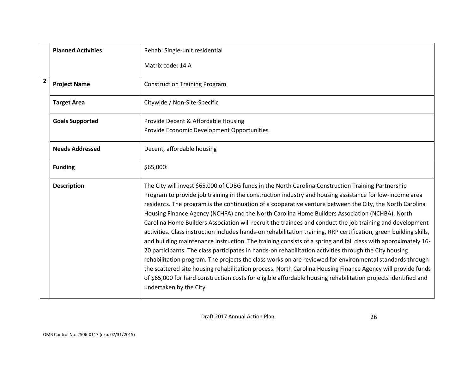|                         | <b>Planned Activities</b> | Rehab: Single-unit residential                                                                                                                                                                                                                                                                                                                                                                                                                                                                                                                                                                                                                                                                                                                                                                                                                                                                                                                                                                                                                                                                                                                                                                                                                                     |
|-------------------------|---------------------------|--------------------------------------------------------------------------------------------------------------------------------------------------------------------------------------------------------------------------------------------------------------------------------------------------------------------------------------------------------------------------------------------------------------------------------------------------------------------------------------------------------------------------------------------------------------------------------------------------------------------------------------------------------------------------------------------------------------------------------------------------------------------------------------------------------------------------------------------------------------------------------------------------------------------------------------------------------------------------------------------------------------------------------------------------------------------------------------------------------------------------------------------------------------------------------------------------------------------------------------------------------------------|
|                         |                           | Matrix code: 14 A                                                                                                                                                                                                                                                                                                                                                                                                                                                                                                                                                                                                                                                                                                                                                                                                                                                                                                                                                                                                                                                                                                                                                                                                                                                  |
| $\overline{\mathbf{2}}$ | <b>Project Name</b>       | <b>Construction Training Program</b>                                                                                                                                                                                                                                                                                                                                                                                                                                                                                                                                                                                                                                                                                                                                                                                                                                                                                                                                                                                                                                                                                                                                                                                                                               |
|                         | <b>Target Area</b>        | Citywide / Non-Site-Specific                                                                                                                                                                                                                                                                                                                                                                                                                                                                                                                                                                                                                                                                                                                                                                                                                                                                                                                                                                                                                                                                                                                                                                                                                                       |
|                         | <b>Goals Supported</b>    | Provide Decent & Affordable Housing                                                                                                                                                                                                                                                                                                                                                                                                                                                                                                                                                                                                                                                                                                                                                                                                                                                                                                                                                                                                                                                                                                                                                                                                                                |
|                         |                           | Provide Economic Development Opportunities                                                                                                                                                                                                                                                                                                                                                                                                                                                                                                                                                                                                                                                                                                                                                                                                                                                                                                                                                                                                                                                                                                                                                                                                                         |
|                         | <b>Needs Addressed</b>    | Decent, affordable housing                                                                                                                                                                                                                                                                                                                                                                                                                                                                                                                                                                                                                                                                                                                                                                                                                                                                                                                                                                                                                                                                                                                                                                                                                                         |
|                         | <b>Funding</b>            | \$65,000:                                                                                                                                                                                                                                                                                                                                                                                                                                                                                                                                                                                                                                                                                                                                                                                                                                                                                                                                                                                                                                                                                                                                                                                                                                                          |
|                         | <b>Description</b>        | The City will invest \$65,000 of CDBG funds in the North Carolina Construction Training Partnership<br>Program to provide job training in the construction industry and housing assistance for low-income area<br>residents. The program is the continuation of a cooperative venture between the City, the North Carolina<br>Housing Finance Agency (NCHFA) and the North Carolina Home Builders Association (NCHBA). North<br>Carolina Home Builders Association will recruit the trainees and conduct the job training and development<br>activities. Class instruction includes hands-on rehabilitation training, RRP certification, green building skills,<br>and building maintenance instruction. The training consists of a spring and fall class with approximately 16-<br>20 participants. The class participates in hands-on rehabilitation activities through the City housing<br>rehabilitation program. The projects the class works on are reviewed for environmental standards through<br>the scattered site housing rehabilitation process. North Carolina Housing Finance Agency will provide funds<br>of \$65,000 for hard construction costs for eligible affordable housing rehabilitation projects identified and<br>undertaken by the City. |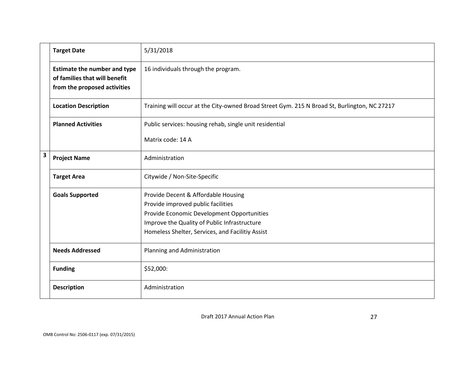|   | <b>Target Date</b>                                                                                   | 5/31/2018                                                                                                                                                                                                                   |
|---|------------------------------------------------------------------------------------------------------|-----------------------------------------------------------------------------------------------------------------------------------------------------------------------------------------------------------------------------|
|   | <b>Estimate the number and type</b><br>of families that will benefit<br>from the proposed activities | 16 individuals through the program.                                                                                                                                                                                         |
|   | <b>Location Description</b>                                                                          | Training will occur at the City-owned Broad Street Gym. 215 N Broad St, Burlington, NC 27217                                                                                                                                |
|   | <b>Planned Activities</b>                                                                            | Public services: housing rehab, single unit residential                                                                                                                                                                     |
|   |                                                                                                      | Matrix code: 14 A                                                                                                                                                                                                           |
| 3 | <b>Project Name</b>                                                                                  | Administration                                                                                                                                                                                                              |
|   | <b>Target Area</b>                                                                                   | Citywide / Non-Site-Specific                                                                                                                                                                                                |
|   | <b>Goals Supported</b>                                                                               | Provide Decent & Affordable Housing<br>Provide improved public facilities<br>Provide Economic Development Opportunities<br>Improve the Quality of Public Infrastructure<br>Homeless Shelter, Services, and Facilitiy Assist |
|   | <b>Needs Addressed</b>                                                                               | Planning and Administration                                                                                                                                                                                                 |
|   | <b>Funding</b>                                                                                       | \$52,000:                                                                                                                                                                                                                   |
|   | <b>Description</b>                                                                                   | Administration                                                                                                                                                                                                              |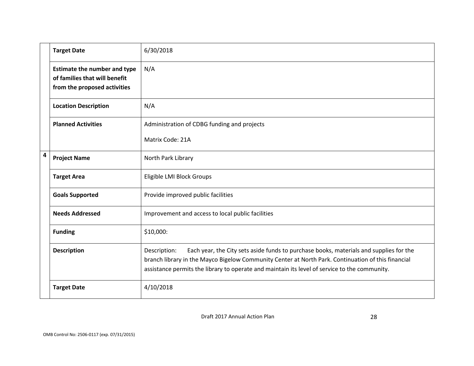|                | <b>Target Date</b>                                                                                   | 6/30/2018                                                                                                                                                                                                                                                                                                     |
|----------------|------------------------------------------------------------------------------------------------------|---------------------------------------------------------------------------------------------------------------------------------------------------------------------------------------------------------------------------------------------------------------------------------------------------------------|
|                | <b>Estimate the number and type</b><br>of families that will benefit<br>from the proposed activities | N/A                                                                                                                                                                                                                                                                                                           |
|                | <b>Location Description</b>                                                                          | N/A                                                                                                                                                                                                                                                                                                           |
|                | <b>Planned Activities</b>                                                                            | Administration of CDBG funding and projects                                                                                                                                                                                                                                                                   |
|                |                                                                                                      | Matrix Code: 21A                                                                                                                                                                                                                                                                                              |
| $\overline{a}$ | <b>Project Name</b>                                                                                  | North Park Library                                                                                                                                                                                                                                                                                            |
|                | <b>Target Area</b>                                                                                   | Eligible LMI Block Groups                                                                                                                                                                                                                                                                                     |
|                | <b>Goals Supported</b>                                                                               | Provide improved public facilities                                                                                                                                                                                                                                                                            |
|                | <b>Needs Addressed</b>                                                                               | Improvement and access to local public facilities                                                                                                                                                                                                                                                             |
|                | <b>Funding</b>                                                                                       | \$10,000:                                                                                                                                                                                                                                                                                                     |
|                | <b>Description</b>                                                                                   | Each year, the City sets aside funds to purchase books, materials and supplies for the<br>Description:<br>branch library in the Mayco Bigelow Community Center at North Park. Continuation of this financial<br>assistance permits the library to operate and maintain its level of service to the community. |
|                | <b>Target Date</b>                                                                                   | 4/10/2018                                                                                                                                                                                                                                                                                                     |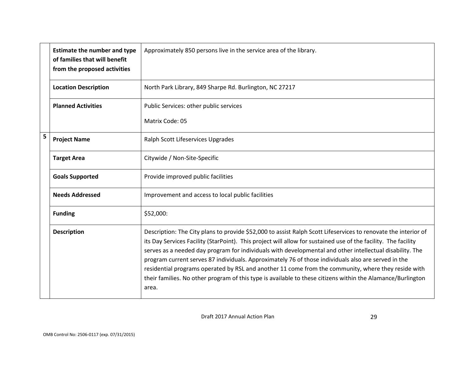|   | <b>Estimate the number and type</b><br>of families that will benefit<br>from the proposed activities | Approximately 850 persons live in the service area of the library.                                                                                                                                                                                                                                                                                                                                                                                                                                                                                                                                                                                                                 |
|---|------------------------------------------------------------------------------------------------------|------------------------------------------------------------------------------------------------------------------------------------------------------------------------------------------------------------------------------------------------------------------------------------------------------------------------------------------------------------------------------------------------------------------------------------------------------------------------------------------------------------------------------------------------------------------------------------------------------------------------------------------------------------------------------------|
|   | <b>Location Description</b>                                                                          | North Park Library, 849 Sharpe Rd. Burlington, NC 27217                                                                                                                                                                                                                                                                                                                                                                                                                                                                                                                                                                                                                            |
|   | <b>Planned Activities</b>                                                                            | Public Services: other public services                                                                                                                                                                                                                                                                                                                                                                                                                                                                                                                                                                                                                                             |
|   |                                                                                                      | Matrix Code: 05                                                                                                                                                                                                                                                                                                                                                                                                                                                                                                                                                                                                                                                                    |
| 5 | <b>Project Name</b>                                                                                  | Ralph Scott Lifeservices Upgrades                                                                                                                                                                                                                                                                                                                                                                                                                                                                                                                                                                                                                                                  |
|   | <b>Target Area</b>                                                                                   | Citywide / Non-Site-Specific                                                                                                                                                                                                                                                                                                                                                                                                                                                                                                                                                                                                                                                       |
|   | <b>Goals Supported</b>                                                                               | Provide improved public facilities                                                                                                                                                                                                                                                                                                                                                                                                                                                                                                                                                                                                                                                 |
|   | <b>Needs Addressed</b>                                                                               | Improvement and access to local public facilities                                                                                                                                                                                                                                                                                                                                                                                                                                                                                                                                                                                                                                  |
|   | <b>Funding</b>                                                                                       | \$52,000:                                                                                                                                                                                                                                                                                                                                                                                                                                                                                                                                                                                                                                                                          |
|   | <b>Description</b>                                                                                   | Description: The City plans to provide \$52,000 to assist Ralph Scott Lifeservices to renovate the interior of<br>its Day Services Facility (StarPoint). This project will allow for sustained use of the facility. The facility<br>serves as a needed day program for individuals with developmental and other intellectual disability. The<br>program current serves 87 individuals. Approximately 76 of those individuals also are served in the<br>residential programs operated by RSL and another 11 come from the community, where they reside with<br>their families. No other program of this type is available to these citizens within the Alamance/Burlington<br>area. |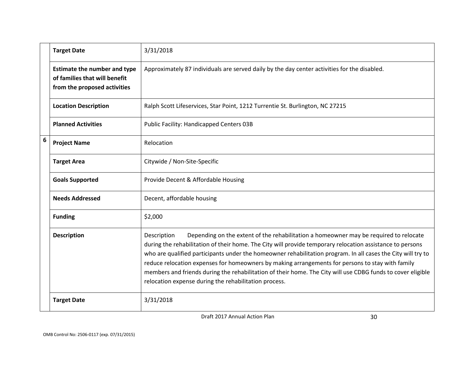|   | <b>Target Date</b>                                                                                   | 3/31/2018                                                                                                                                                                                                                                                                                                                                                                                                                                                                                                                                                                                                     |
|---|------------------------------------------------------------------------------------------------------|---------------------------------------------------------------------------------------------------------------------------------------------------------------------------------------------------------------------------------------------------------------------------------------------------------------------------------------------------------------------------------------------------------------------------------------------------------------------------------------------------------------------------------------------------------------------------------------------------------------|
|   | <b>Estimate the number and type</b><br>of families that will benefit<br>from the proposed activities | Approximately 87 individuals are served daily by the day center activities for the disabled.                                                                                                                                                                                                                                                                                                                                                                                                                                                                                                                  |
|   | <b>Location Description</b>                                                                          | Ralph Scott Lifeservices, Star Point, 1212 Turrentie St. Burlington, NC 27215                                                                                                                                                                                                                                                                                                                                                                                                                                                                                                                                 |
|   | <b>Planned Activities</b>                                                                            | Public Facility: Handicapped Centers 03B                                                                                                                                                                                                                                                                                                                                                                                                                                                                                                                                                                      |
| 6 | <b>Project Name</b>                                                                                  | Relocation                                                                                                                                                                                                                                                                                                                                                                                                                                                                                                                                                                                                    |
|   | <b>Target Area</b>                                                                                   | Citywide / Non-Site-Specific                                                                                                                                                                                                                                                                                                                                                                                                                                                                                                                                                                                  |
|   | <b>Goals Supported</b>                                                                               | Provide Decent & Affordable Housing                                                                                                                                                                                                                                                                                                                                                                                                                                                                                                                                                                           |
|   | <b>Needs Addressed</b>                                                                               | Decent, affordable housing                                                                                                                                                                                                                                                                                                                                                                                                                                                                                                                                                                                    |
|   | <b>Funding</b>                                                                                       | \$2,000                                                                                                                                                                                                                                                                                                                                                                                                                                                                                                                                                                                                       |
|   | <b>Description</b>                                                                                   | Depending on the extent of the rehabilitation a homeowner may be required to relocate<br>Description<br>during the rehabilitation of their home. The City will provide temporary relocation assistance to persons<br>who are qualified participants under the homeowner rehabilitation program. In all cases the City will try to<br>reduce relocation expenses for homeowners by making arrangements for persons to stay with family<br>members and friends during the rehabilitation of their home. The City will use CDBG funds to cover eligible<br>relocation expense during the rehabilitation process. |
|   | <b>Target Date</b>                                                                                   | 3/31/2018                                                                                                                                                                                                                                                                                                                                                                                                                                                                                                                                                                                                     |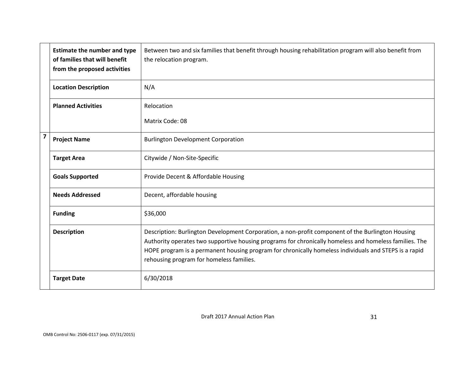|   | <b>Estimate the number and type</b><br>of families that will benefit<br>from the proposed activities | Between two and six families that benefit through housing rehabilitation program will also benefit from<br>the relocation program.                                                                                                                                                                                                                               |
|---|------------------------------------------------------------------------------------------------------|------------------------------------------------------------------------------------------------------------------------------------------------------------------------------------------------------------------------------------------------------------------------------------------------------------------------------------------------------------------|
|   | <b>Location Description</b>                                                                          | N/A                                                                                                                                                                                                                                                                                                                                                              |
|   | <b>Planned Activities</b>                                                                            | Relocation                                                                                                                                                                                                                                                                                                                                                       |
|   |                                                                                                      | Matrix Code: 08                                                                                                                                                                                                                                                                                                                                                  |
| 7 | <b>Project Name</b>                                                                                  | <b>Burlington Development Corporation</b>                                                                                                                                                                                                                                                                                                                        |
|   | <b>Target Area</b>                                                                                   | Citywide / Non-Site-Specific                                                                                                                                                                                                                                                                                                                                     |
|   | <b>Goals Supported</b>                                                                               | Provide Decent & Affordable Housing                                                                                                                                                                                                                                                                                                                              |
|   | <b>Needs Addressed</b>                                                                               | Decent, affordable housing                                                                                                                                                                                                                                                                                                                                       |
|   | <b>Funding</b>                                                                                       | \$36,000                                                                                                                                                                                                                                                                                                                                                         |
|   | <b>Description</b>                                                                                   | Description: Burlington Development Corporation, a non-profit component of the Burlington Housing<br>Authority operates two supportive housing programs for chronically homeless and homeless families. The<br>HOPE program is a permanent housing program for chronically homeless individuals and STEPS is a rapid<br>rehousing program for homeless families. |
|   | <b>Target Date</b>                                                                                   | 6/30/2018                                                                                                                                                                                                                                                                                                                                                        |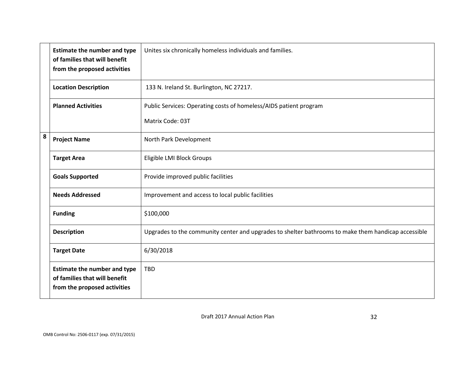|   | <b>Estimate the number and type</b><br>of families that will benefit<br>from the proposed activities | Unites six chronically homeless individuals and families.                                           |
|---|------------------------------------------------------------------------------------------------------|-----------------------------------------------------------------------------------------------------|
|   | <b>Location Description</b>                                                                          | 133 N. Ireland St. Burlington, NC 27217.                                                            |
|   | <b>Planned Activities</b>                                                                            | Public Services: Operating costs of homeless/AIDS patient program                                   |
|   |                                                                                                      | Matrix Code: 03T                                                                                    |
| 8 | <b>Project Name</b>                                                                                  | North Park Development                                                                              |
|   | <b>Target Area</b>                                                                                   | Eligible LMI Block Groups                                                                           |
|   | <b>Goals Supported</b>                                                                               | Provide improved public facilities                                                                  |
|   | <b>Needs Addressed</b>                                                                               | Improvement and access to local public facilities                                                   |
|   | <b>Funding</b>                                                                                       | \$100,000                                                                                           |
|   | <b>Description</b>                                                                                   | Upgrades to the community center and upgrades to shelter bathrooms to make them handicap accessible |
|   | <b>Target Date</b>                                                                                   | 6/30/2018                                                                                           |
|   | <b>Estimate the number and type</b><br>of families that will benefit<br>from the proposed activities | <b>TBD</b>                                                                                          |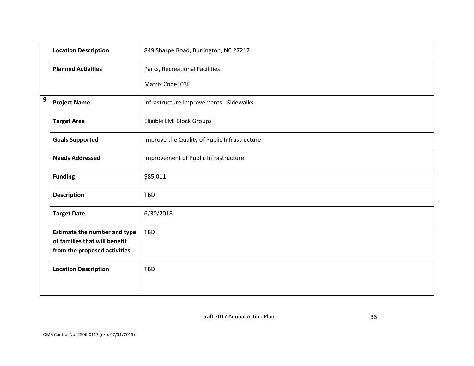|   | <b>Location Description</b>                                                                          | 849 Sharpe Road, Burlington, NC 27217        |
|---|------------------------------------------------------------------------------------------------------|----------------------------------------------|
|   | <b>Planned Activities</b>                                                                            | Parks, Recreational Facilities               |
|   |                                                                                                      | Matrix Code: 03F                             |
| 9 | <b>Project Name</b>                                                                                  | Infrastructure Improvements - Sidewalks      |
|   | <b>Target Area</b>                                                                                   | Eligible LMI Block Groups                    |
|   | <b>Goals Supported</b>                                                                               | Improve the Quality of Public Infrastructure |
|   | <b>Needs Addressed</b>                                                                               | Improvement of Public Infrastructure         |
|   | <b>Funding</b>                                                                                       | \$85,011                                     |
|   | <b>Description</b>                                                                                   | <b>TBD</b>                                   |
|   | <b>Target Date</b>                                                                                   | 6/30/2018                                    |
|   | <b>Estimate the number and type</b><br>of families that will benefit<br>from the proposed activities | <b>TBD</b>                                   |
|   | <b>Location Description</b>                                                                          | <b>TBD</b>                                   |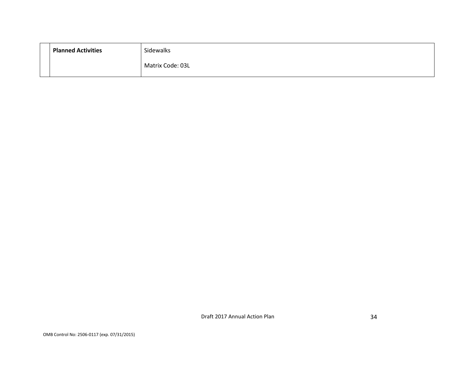| <b>Planned Activities</b> | Sidewalks        |
|---------------------------|------------------|
|                           | Matrix Code: 03L |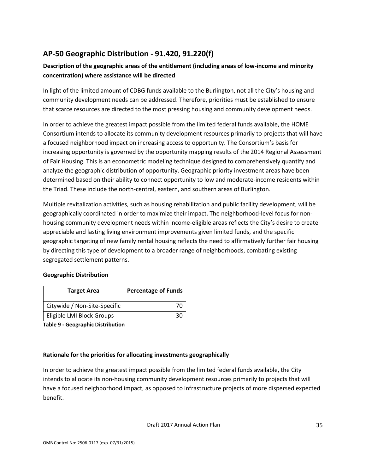# **AP-50 Geographic Distribution - 91.420, 91.220(f)**

## **Description of the geographic areas of the entitlement (including areas of low-income and minority concentration) where assistance will be directed**

In light of the limited amount of CDBG funds available to the Burlington, not all the City's housing and community development needs can be addressed. Therefore, priorities must be established to ensure that scarce resources are directed to the most pressing housing and community development needs.

In order to achieve the greatest impact possible from the limited federal funds available, the HOME Consortium intends to allocate its community development resources primarily to projects that will have a focused neighborhood impact on increasing access to opportunity. The Consortium's basis for increasing opportunity is governed by the opportunity mapping results of the 2014 Regional Assessment of Fair Housing. This is an econometric modeling technique designed to comprehensively quantify and analyze the geographic distribution of opportunity. Geographic priority investment areas have been determined based on their ability to connect opportunity to low and moderate-income residents within the Triad. These include the north-central, eastern, and southern areas of Burlington.

Multiple revitalization activities, such as housing rehabilitation and public facility development, will be geographically coordinated in order to maximize their impact. The neighborhood-level focus for nonhousing community development needs within income-eligible areas reflects the City's desire to create appreciable and lasting living environment improvements given limited funds, and the specific geographic targeting of new family rental housing reflects the need to affirmatively further fair housing by directing this type of development to a broader range of neighborhoods, combating existing segregated settlement patterns.

## **Geographic Distribution**

| <b>Target Area</b>           | <b>Percentage of Funds</b> |  |
|------------------------------|----------------------------|--|
| Citywide / Non-Site-Specific |                            |  |
| Eligible LMI Block Groups    | จด                         |  |

**Table 9 - Geographic Distribution** 

## **Rationale for the priorities for allocating investments geographically**

In order to achieve the greatest impact possible from the limited federal funds available, the City intends to allocate its non-housing community development resources primarily to projects that will have a focused neighborhood impact, as opposed to infrastructure projects of more dispersed expected benefit.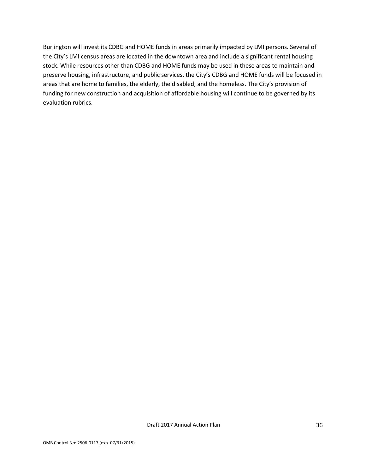Burlington will invest its CDBG and HOME funds in areas primarily impacted by LMI persons. Several of the City's LMI census areas are located in the downtown area and include a significant rental housing stock. While resources other than CDBG and HOME funds may be used in these areas to maintain and preserve housing, infrastructure, and public services, the City's CDBG and HOME funds will be focused in areas that are home to families, the elderly, the disabled, and the homeless. The City's provision of funding for new construction and acquisition of affordable housing will continue to be governed by its evaluation rubrics.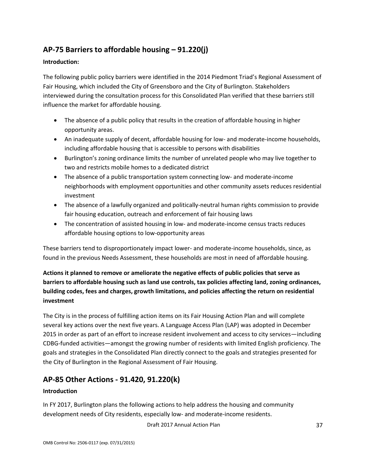# **AP-75 Barriers to affordable housing – 91.220(j)**

### **Introduction:**

The following public policy barriers were identified in the 2014 Piedmont Triad's Regional Assessment of Fair Housing, which included the City of Greensboro and the City of Burlington. Stakeholders interviewed during the consultation process for this Consolidated Plan verified that these barriers still influence the market for affordable housing.

- The absence of a public policy that results in the creation of affordable housing in higher opportunity areas.
- An inadequate supply of decent, affordable housing for low- and moderate-income households, including affordable housing that is accessible to persons with disabilities
- Burlington's zoning ordinance limits the number of unrelated people who may live together to two and restricts mobile homes to a dedicated district
- The absence of a public transportation system connecting low- and moderate-income neighborhoods with employment opportunities and other community assets reduces residential investment
- The absence of a lawfully organized and politically-neutral human rights commission to provide fair housing education, outreach and enforcement of fair housing laws
- The concentration of assisted housing in low- and moderate-income census tracts reduces affordable housing options to low-opportunity areas

These barriers tend to disproportionately impact lower- and moderate-income households, since, as found in the previous Needs Assessment, these households are most in need of affordable housing.

## **Actions it planned to remove or ameliorate the negative effects of public policies that serve as barriers to affordable housing such as land use controls, tax policies affecting land, zoning ordinances, building codes, fees and charges, growth limitations, and policies affecting the return on residential investment**

The City is in the process of fulfilling action items on its Fair Housing Action Plan and will complete several key actions over the next five years. A Language Access Plan (LAP) was adopted in December 2015 in order as part of an effort to increase resident involvement and access to city services—including CDBG-funded activities—amongst the growing number of residents with limited English proficiency. The goals and strategies in the Consolidated Plan directly connect to the goals and strategies presented for the City of Burlington in the Regional Assessment of Fair Housing.

# **AP-85 Other Actions - 91.420, 91.220(k)**

## **Introduction**

In FY 2017, Burlington plans the following actions to help address the housing and community development needs of City residents, especially low- and moderate-income residents.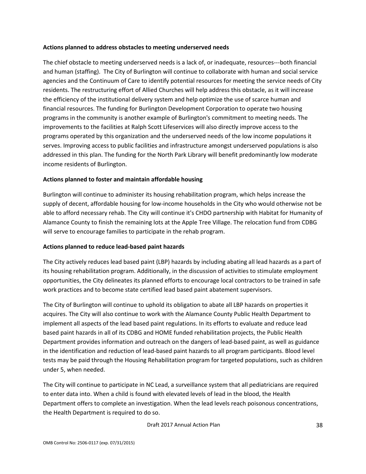#### **Actions planned to address obstacles to meeting underserved needs**

The chief obstacle to meeting underserved needs is a lack of, or inadequate, resources---both financial and human (staffing). The City of Burlington will continue to collaborate with human and social service agencies and the Continuum of Care to identify potential resources for meeting the service needs of City residents. The restructuring effort of Allied Churches will help address this obstacle, as it will increase the efficiency of the institutional delivery system and help optimize the use of scarce human and financial resources. The funding for Burlington Development Corporation to operate two housing programs in the community is another example of Burlington's commitment to meeting needs. The improvements to the facilities at Ralph Scott Lifeservices will also directly improve access to the programs operated by this organization and the underserved needs of the low income populations it serves. Improving access to public facilities and infrastructure amongst underserved populations is also addressed in this plan. The funding for the North Park Library will benefit predominantly low moderate income residents of Burlington.

### **Actions planned to foster and maintain affordable housing**

Burlington will continue to administer its housing rehabilitation program, which helps increase the supply of decent, affordable housing for low-income households in the City who would otherwise not be able to afford necessary rehab. The City will continue it's CHDO partnership with Habitat for Humanity of Alamance County to finish the remaining lots at the Apple Tree Village. The relocation fund from CDBG will serve to encourage families to participate in the rehab program.

### **Actions planned to reduce lead-based paint hazards**

The City actively reduces lead based paint (LBP) hazards by including abating all lead hazards as a part of its housing rehabilitation program. Additionally, in the discussion of activities to stimulate employment opportunities, the City delineates its planned efforts to encourage local contractors to be trained in safe work practices and to become state certified lead based paint abatement supervisors.

The City of Burlington will continue to uphold its obligation to abate all LBP hazards on properties it acquires. The City will also continue to work with the Alamance County Public Health Department to implement all aspects of the lead based paint regulations. In its efforts to evaluate and reduce lead based paint hazards in all of its CDBG and HOME funded rehabilitation projects, the Public Health Department provides information and outreach on the dangers of lead-based paint, as well as guidance in the identification and reduction of lead-based paint hazards to all program participants. Blood level tests may be paid through the Housing Rehabilitation program for targeted populations, such as children under 5, when needed.

The City will continue to participate in NC Lead, a surveillance system that all pediatricians are required to enter data into. When a child is found with elevated levels of lead in the blood, the Health Department offers to complete an investigation. When the lead levels reach poisonous concentrations, the Health Department is required to do so.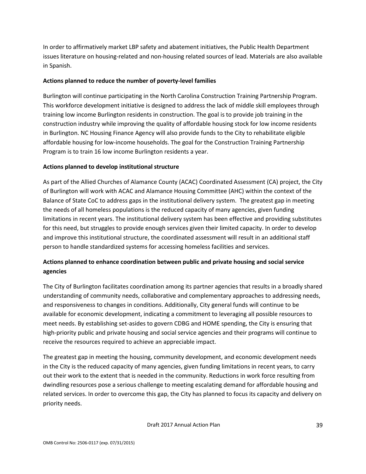In order to affirmatively market LBP safety and abatement initiatives, the Public Health Department issues literature on housing-related and non-housing related sources of lead. Materials are also available in Spanish.

### **Actions planned to reduce the number of poverty-level families**

Burlington will continue participating in the North Carolina Construction Training Partnership Program. This workforce development initiative is designed to address the lack of middle skill employees through training low income Burlington residents in construction. The goal is to provide job training in the construction industry while improving the quality of affordable housing stock for low income residents in Burlington. NC Housing Finance Agency will also provide funds to the City to rehabilitate eligible affordable housing for low-income households. The goal for the Construction Training Partnership Program is to train 16 low income Burlington residents a year.

### **Actions planned to develop institutional structure**

As part of the Allied Churches of Alamance County (ACAC) Coordinated Assessment (CA) project, the City of Burlington will work with ACAC and Alamance Housing Committee (AHC) within the context of the Balance of State CoC to address gaps in the institutional delivery system. The greatest gap in meeting the needs of all homeless populations is the reduced capacity of many agencies, given funding limitations in recent years. The institutional delivery system has been effective and providing substitutes for this need, but struggles to provide enough services given their limited capacity. In order to develop and improve this institutional structure, the coordinated assessment will result in an additional staff person to handle standardized systems for accessing homeless facilities and services.

## **Actions planned to enhance coordination between public and private housing and social service agencies**

The City of Burlington facilitates coordination among its partner agencies that results in a broadly shared understanding of community needs, collaborative and complementary approaches to addressing needs, and responsiveness to changes in conditions. Additionally, City general funds will continue to be available for economic development, indicating a commitment to leveraging all possible resources to meet needs. By establishing set-asides to govern CDBG and HOME spending, the City is ensuring that high-priority public and private housing and social service agencies and their programs will continue to receive the resources required to achieve an appreciable impact.

The greatest gap in meeting the housing, community development, and economic development needs in the City is the reduced capacity of many agencies, given funding limitations in recent years, to carry out their work to the extent that is needed in the community. Reductions in work force resulting from dwindling resources pose a serious challenge to meeting escalating demand for affordable housing and related services. In order to overcome this gap, the City has planned to focus its capacity and delivery on priority needs.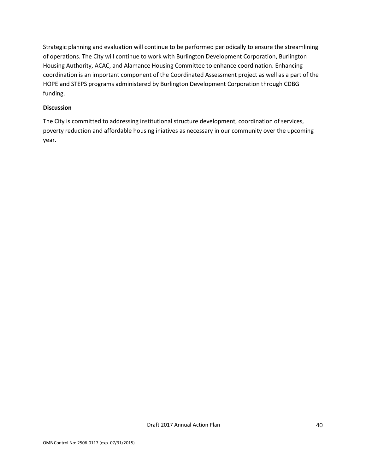Strategic planning and evaluation will continue to be performed periodically to ensure the streamlining of operations. The City will continue to work with Burlington Development Corporation, Burlington Housing Authority, ACAC, and Alamance Housing Committee to enhance coordination. Enhancing coordination is an important component of the Coordinated Assessment project as well as a part of the HOPE and STEPS programs administered by Burlington Development Corporation through CDBG funding.

#### **Discussion**

The City is committed to addressing institutional structure development, coordination of services, poverty reduction and affordable housing iniatives as necessary in our community over the upcoming year.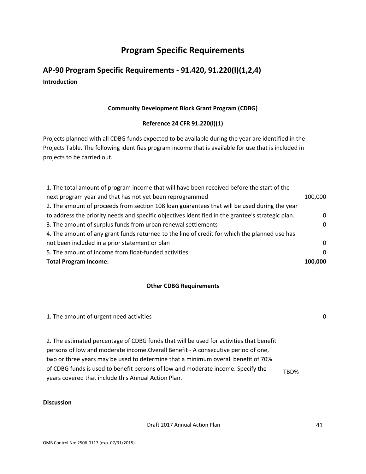# **Program Specific Requirements**

# **AP-90 Program Specific Requirements - 91.420, 91.220(l)(1,2,4) Introduction**

### **Community Development Block Grant Program (CDBG)**

### **Reference 24 CFR 91.220(l)(1)**

Projects planned with all CDBG funds expected to be available during the year are identified in the Projects Table. The following identifies program income that is available for use that is included in projects to be carried out.

| 1. The total amount of program income that will have been received before the start of the        |          |
|---------------------------------------------------------------------------------------------------|----------|
| next program year and that has not yet been reprogrammed                                          |          |
| 2. The amount of proceeds from section 108 loan guarantees that will be used during the year      |          |
| to address the priority needs and specific objectives identified in the grantee's strategic plan. | $\Omega$ |
| 3. The amount of surplus funds from urban renewal settlements                                     | $\Omega$ |
| 4. The amount of any grant funds returned to the line of credit for which the planned use has     |          |
| not been included in a prior statement or plan                                                    | $\Omega$ |
| 5. The amount of income from float-funded activities                                              | $\Omega$ |
| <b>Total Program Income:</b>                                                                      |          |

### **Other CDBG Requirements**

| 1. The amount of urgent need activities |  |
|-----------------------------------------|--|
|-----------------------------------------|--|

2. The estimated percentage of CDBG funds that will be used for activities that benefit persons of low and moderate income.Overall Benefit - A consecutive period of one, two or three years may be used to determine that a minimum overall benefit of 70% of CDBG funds is used to benefit persons of low and moderate income. Specify the years covered that include this Annual Action Plan. TBD%

#### **Discussion**